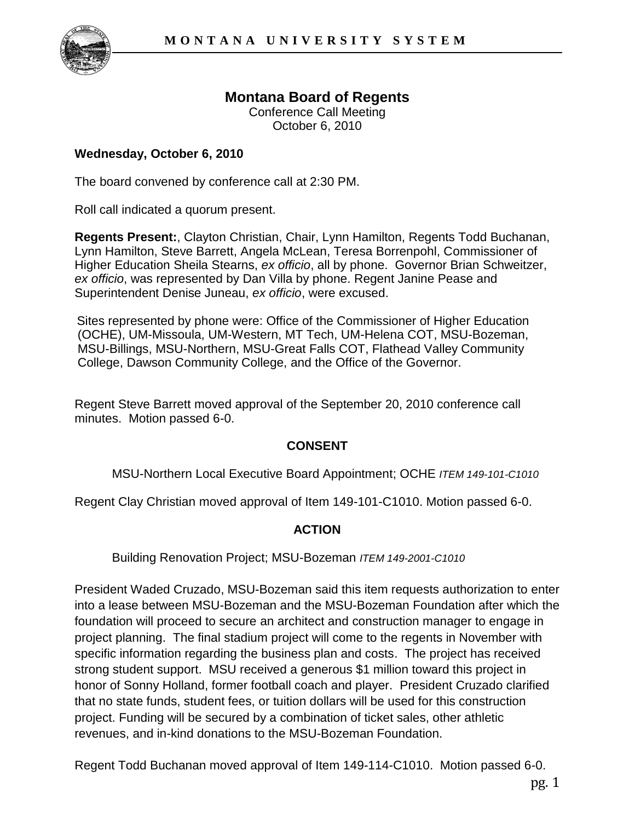

# **Montana Board of Regents**

Conference Call Meeting October 6, 2010

### **Wednesday, October 6, 2010**

The board convened by conference call at 2:30 PM.

Roll call indicated a quorum present.

**Regents Present:**, Clayton Christian, Chair, Lynn Hamilton, Regents Todd Buchanan, Lynn Hamilton, Steve Barrett, Angela McLean, Teresa Borrenpohl, Commissioner of Higher Education Sheila Stearns, *ex officio*, all by phone. Governor Brian Schweitzer, *ex officio*, was represented by Dan Villa by phone. Regent Janine Pease and Superintendent Denise Juneau, *ex officio*, were excused.

Sites represented by phone were: Office of the Commissioner of Higher Education (OCHE), UM-Missoula, UM-Western, MT Tech, UM-Helena COT, MSU-Bozeman, MSU-Billings, MSU-Northern, MSU-Great Falls COT, Flathead Valley Community College, Dawson Community College, and the Office of the Governor.

Regent Steve Barrett moved approval of the September 20, 2010 conference call minutes. Motion passed 6-0.

#### **CONSENT**

MSU-Northern Local Executive Board Appointment; OCHE *ITEM 149-101-C1010*

Regent Clay Christian moved approval of Item 149-101-C1010. Motion passed 6-0.

#### **ACTION**

Building Renovation Project; MSU-Bozeman *ITEM 149-2001-C1010*

President Waded Cruzado, MSU-Bozeman said this item requests authorization to enter into a lease between MSU-Bozeman and the MSU-Bozeman Foundation after which the foundation will proceed to secure an architect and construction manager to engage in project planning. The final stadium project will come to the regents in November with specific information regarding the business plan and costs. The project has received strong student support. MSU received a generous \$1 million toward this project in honor of Sonny Holland, former football coach and player. President Cruzado clarified that no state funds, student fees, or tuition dollars will be used for this construction project. Funding will be secured by a combination of ticket sales, other athletic revenues, and in-kind donations to the MSU-Bozeman Foundation.

Regent Todd Buchanan moved approval of Item 149-114-C1010. Motion passed 6-0.